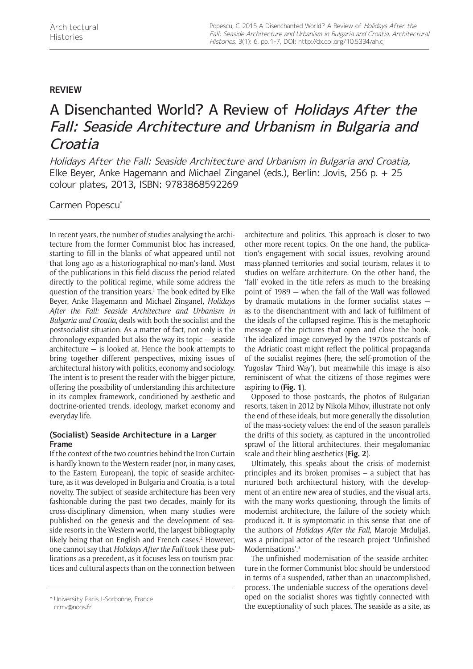# **REVIEW**

# A Disenchanted World? A Review of Holidays After the Fall: Seaside Architecture and Urbanism in Bulgaria and Croatia

Holidays After the Fall: Seaside Architecture and Urbanism in Bulgaria and Croatia, Elke Beyer, Anke Hagemann and Michael Zinganel (eds.), Berlin: Jovis, 256 p. + 25 colour plates, 2013, ISBN: 9783868592269

Carmen Popescu\*

In recent years, the number of studies analysing the architecture from the former Communist bloc has increased, starting to fill in the blanks of what appeared until not that long ago as a historiographical no-man's-land. Most of the publications in this field discuss the period related directly to the political regime, while some address the question of the transition years.<sup>1</sup> The book edited by Elke Beyer, Anke Hagemann and Michael Zinganel, *Holidays After the Fall: Seaside Architecture and Urbanism in Bulgaria and Croatia*, deals with both the socialist and the postsocialist situation. As a matter of fact, not only is the chronology expanded but also the way its topic — seaside architecture — is looked at. Hence the book attempts to bring together different perspectives, mixing issues of architectural history with politics, economy and sociology. The intent is to present the reader with the bigger picture, offering the possibility of understanding this architecture in its complex framework, conditioned by aesthetic and doctrine-oriented trends, ideology, market economy and everyday life.

## **(Socialist) Seaside Architecture in a Larger Frame**

If the context of the two countries behind the Iron Curtain is hardly known to the Western reader (nor, in many cases, to the Eastern European), the topic of seaside architecture, as it was developed in Bulgaria and Croatia, is a total novelty. The subject of seaside architecture has been very fashionable during the past two decades, mainly for its cross-disciplinary dimension, when many studies were published on the genesis and the development of seaside resorts in the Western world, the largest bibliography likely being that on English and French cases.<sup>2</sup> However, one cannot say that *Holidays After the Fall* took these publications as a precedent, as it focuses less on tourism practices and cultural aspects than on the connection between architecture and politics. This approach is closer to two other more recent topics. On the one hand, the publication's engagement with social issues, revolving around mass-planned territories and social tourism, relates it to studies on welfare architecture. On the other hand, the 'fall' evoked in the title refers as much to the breaking point of 1989 — when the fall of the Wall was followed by dramatic mutations in the former socialist states as to the disenchantment with and lack of fulfilment of the ideals of the collapsed regime. This is the metaphoric message of the pictures that open and close the book. The idealized image conveyed by the 1970s postcards of the Adriatic coast might reflect the political propaganda of the socialist regimes (here, the self-promotion of the Yugoslav 'Third Way'), but meanwhile this image is also reminiscent of what the citizens of those regimes were aspiring to (**Fig. 1**).

Opposed to those postcards, the photos of Bulgarian resorts, taken in 2012 by Nikola Mihov, illustrate not only the end of these ideals, but more generally the dissolution of the mass-society values: the end of the season parallels the drifts of this society, as captured in the uncontrolled sprawl of the littoral architectures, their megalomaniac scale and their bling aesthetics (**Fig. 2**).

Ultimately, this speaks about the crisis of modernist principles and its broken promises – a subject that has nurtured both architectural history, with the development of an entire new area of studies, and the visual arts, with the many works questioning, through the limits of modernist architecture, the failure of the society which produced it. It is symptomatic in this sense that one of the authors of *Holidays After the Fall*, Maroje Mrduljaš, was a principal actor of the research project 'Unfinished Modernisations'.<sup>3</sup>

The unfinished modernisation of the seaside architecture in the former Communist bloc should be understood in terms of a suspended, rather than an unaccomplished, process. The undeniable success of the operations developed on the socialist shores was tightly connected with thiversity Paris I-Sorbonne, France<br>crmv@noos.fr crmccted with places. The seaside as a site, as

[crmv@noos.fr](mailto:crmv@noos.fr)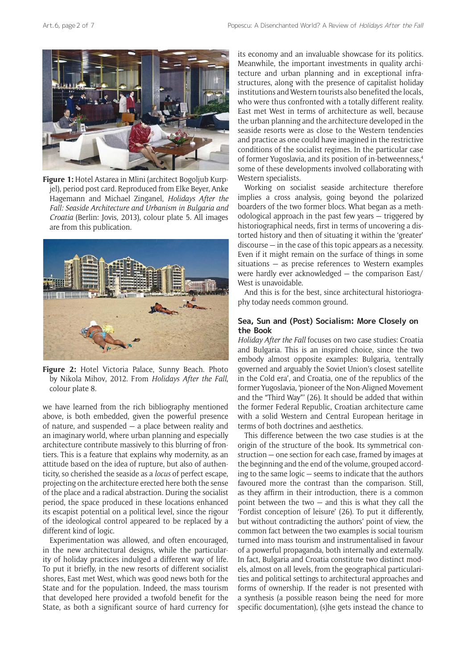

**Figure 1:** Hotel Astarea in Mlini (architect Bogoljub Kurpjel), period post card. Reproduced from Elke Beyer, Anke Hagemann and Michael Zinganel, *Holidays After the Fall: Seaside Architecture and Urbanism in Bulgaria and Croatia* (Berlin: Jovis, 2013), colour plate 5. All images are from this publication.



**Figure 2:** Hotel Victoria Palace, Sunny Beach. Photo by Nikola Mihov, 2012. From *Holidays After the Fall*, colour plate 8.

we have learned from the rich bibliography mentioned above, is both embedded, given the powerful presence of nature, and suspended — a place between reality and an imaginary world, where urban planning and especially architecture contribute massively to this blurring of frontiers. This is a feature that explains why modernity, as an attitude based on the idea of rupture, but also of authenticity, so cherished the seaside as a *locus* of perfect escape, projecting on the architecture erected here both the sense of the place and a radical abstraction. During the socialist period, the space produced in these locations enhanced its escapist potential on a political level, since the rigour of the ideological control appeared to be replaced by a different kind of logic.

Experimentation was allowed, and often encouraged, in the new architectural designs, while the particularity of holiday practices indulged a different way of life. To put it briefly, in the new resorts of different socialist shores, East met West, which was good news both for the State and for the population. Indeed, the mass tourism that developed here provided a twofold benefit for the State, as both a significant source of hard currency for its economy and an invaluable showcase for its politics. Meanwhile, the important investments in quality architecture and urban planning and in exceptional infrastructures, along with the presence of capitalist holiday institutions and Western tourists also benefited the locals, who were thus confronted with a totally different reality. East met West in terms of architecture as well, because the urban planning and the architecture developed in the seaside resorts were as close to the Western tendencies and practice as one could have imagined in the restrictive conditions of the socialist regimes. In the particular case of former Yugoslavia, and its position of in-betweenness,4 some of these developments involved collaborating with Western specialists.

Working on socialist seaside architecture therefore implies a cross analysis, going beyond the polarized boarders of the two former blocs. What began as a methodological approach in the past few years — triggered by historiographical needs, first in terms of uncovering a distorted history and then of situating it within the 'greater' discourse — in the case of this topic appears as a necessity. Even if it might remain on the surface of things in some situations — as precise references to Western examples were hardly ever acknowledged — the comparison East/ West is unavoidable.

And this is for the best, since architectural historiography today needs common ground.

### **Sea, Sun and (Post) Socialism: More Closely on the Book**

*Holiday After the Fall* focuses on two case studies: Croatia and Bulgaria. This is an inspired choice, since the two embody almost opposite examples: Bulgaria, 'centrally governed and arguably the Soviet Union's closest satellite in the Cold era', and Croatia, one of the republics of the former Yugoslavia, 'pioneer of the Non-Aligned Movement and the "Third Way"' (26). It should be added that within the former Federal Republic, Croatian architecture came with a solid Western and Central European heritage in terms of both doctrines and aesthetics.

This difference between the two case studies is at the origin of the structure of the book. Its symmetrical construction — one section for each case, framed by images at the beginning and the end of the volume, grouped according to the same logic — seems to indicate that the authors favoured more the contrast than the comparison. Still, as they affirm in their introduction, there is a common point between the two  $-$  and this is what they call the 'Fordist conception of leisure' (26). To put it differently, but without contradicting the authors' point of view, the common fact between the two examples is social tourism turned into mass tourism and instrumentalised in favour of a powerful propaganda, both internally and externally. In fact, Bulgaria and Croatia constitute two distinct models, almost on all levels, from the geographical particularities and political settings to architectural approaches and forms of ownership. If the reader is not presented with a synthesis (a possible reason being the need for more specific documentation), (s)he gets instead the chance to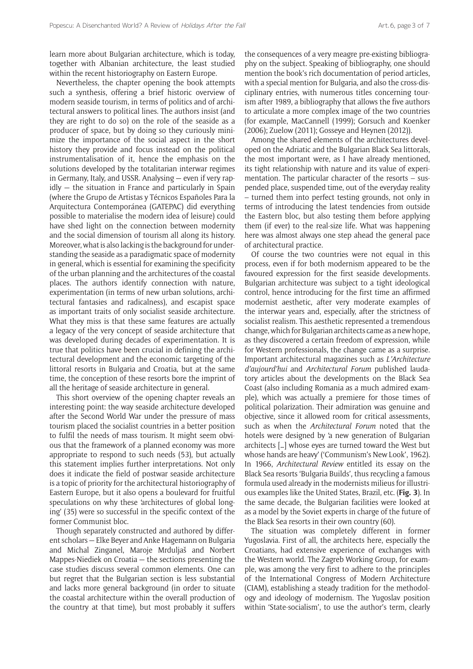learn more about Bulgarian architecture, which is today, together with Albanian architecture, the least studied within the recent historiography on Eastern Europe.

Nevertheless, the chapter opening the book attempts such a synthesis, offering a brief historic overview of modern seaside tourism, in terms of politics and of architectural answers to political lines. The authors insist (and they are right to do so) on the role of the seaside as a producer of space, but by doing so they curiously minimize the importance of the social aspect in the short history they provide and focus instead on the political instrumentalisation of it, hence the emphasis on the solutions developed by the totalitarian interwar regimes in Germany, Italy, and USSR. Analysing — even if very rapidly — the situation in France and particularly in Spain (where the Grupo de Artistas y Técnicos Españoles Para la Arquitectura Contemporánea (GATEPAC) did everything possible to materialise the modern idea of leisure) could have shed light on the connection between modernity and the social dimension of tourism all along its history. Moreover, what is also lacking is the background for understanding the seaside as a paradigmatic space of modernity in general, which is essential for examining the specificity of the urban planning and the architectures of the coastal places. The authors identify connection with nature, experimentation (in terms of new urban solutions, architectural fantasies and radicalness), and escapist space as important traits of only socialist seaside architecture. What they miss is that these same features are actually a legacy of the very concept of seaside architecture that was developed during decades of experimentation. It is true that politics have been crucial in defining the architectural development and the economic targeting of the littoral resorts in Bulgaria and Croatia, but at the same time, the conception of these resorts bore the imprint of all the heritage of seaside architecture in general.

This short overview of the opening chapter reveals an interesting point: the way seaside architecture developed after the Second World War under the pressure of mass tourism placed the socialist countries in a better position to fulfil the needs of mass tourism. It might seem obvious that the framework of a planned economy was more appropriate to respond to such needs (53), but actually this statement implies further interpretations. Not only does it indicate the field of postwar seaside architecture is a topic of priority for the architectural historiography of Eastern Europe, but it also opens a boulevard for fruitful speculations on why these 'architectures of global longing' (35) were so successful in the specific context of the former Communist bloc.

Though separately constructed and authored by different scholars — Elke Beyer and Anke Hagemann on Bulgaria and Michal Zinganel, Maroje Mrduljaš and Norbert Mappes-Niediek on Croatia — the sections presenting the case studies discuss several common elements. One can but regret that the Bulgarian section is less substantial and lacks more general background (in order to situate the coastal architecture within the overall production of the country at that time), but most probably it suffers the consequences of a very meagre pre-existing bibliography on the subject. Speaking of bibliography, one should mention the book's rich documentation of period articles, with a special mention for Bulgaria, and also the cross-disciplinary entries, with numerous titles concerning tourism after 1989, a bibliography that allows the five authors to articulate a more complex image of the two countries (for example, MacCannell (1999); Gorsuch and Koenker (2006); Zuelow (2011); Gosseye and Heynen (2012)).

Among the shared elements of the architectures developed on the Adriatic and the Bulgarian Black Sea littorals, the most important were, as I have already mentioned, its tight relationship with nature and its value of experimentation. The particular character of the resorts – suspended place, suspended time, out of the everyday reality – turned them into perfect testing grounds, not only in terms of introducing the latest tendencies from outside the Eastern bloc, but also testing them before applying them (if ever) to the real-size life. What was happening here was almost always one step ahead the general pace of architectural practice.

Of course the two countries were not equal in this process, even if for both modernism appeared to be the favoured expression for the first seaside developments. Bulgarian architecture was subject to a tight ideological control, hence introducing for the first time an affirmed modernist aesthetic, after very moderate examples of the interwar years and, especially, after the strictness of socialist realism. This aesthetic represented a tremendous change, which for Bulgarian architects came as a new hope, as they discovered a certain freedom of expression, while for Western professionals, the change came as a surprise. Important architectural magazines such as *L'Architecture d'aujourd'hui* and *Architectural Forum* published laudatory articles about the developments on the Black Sea Coast (also including Romania as a much admired example), which was actually a premiere for those times of political polarization. Their admiration was genuine and objective, since it allowed room for critical assessments, such as when the *Architectural Forum* noted that the hotels were designed by 'a new generation of Bulgarian architects […] whose eyes are turned toward the West but whose hands are heavy' ('Communism's New Look', 1962). In 1966, *Architectural Review* entitled its essay on the Black Sea resorts 'Bulgaria Builds', thus recycling a famous formula used already in the modernists milieus for illustrious examples like the United States, Brazil, etc. (**Fig. 3**). In the same decade, the Bulgarian facilities were looked at as a model by the Soviet experts in charge of the future of the Black Sea resorts in their own country (60).

The situation was completely different in former Yugoslavia. First of all, the architects here, especially the Croatians, had extensive experience of exchanges with the Western world. The Zagreb Working Group, for example, was among the very first to adhere to the principles of the International Congress of Modern Architecture (CIAM), establishing a steady tradition for the methodology and ideology of modernism. The Yugoslav position within 'State-socialism', to use the author's term, clearly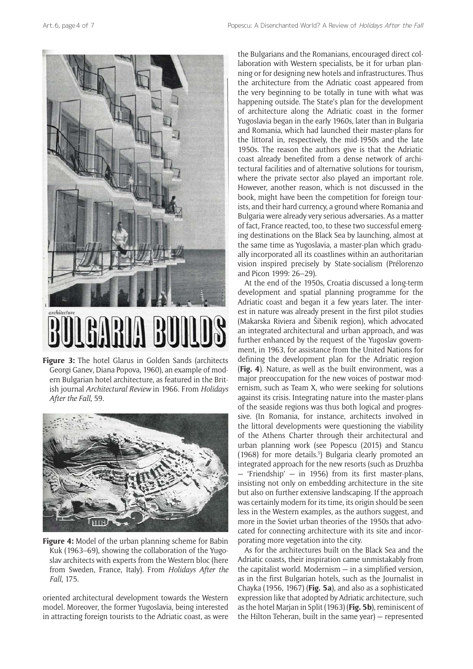

**Figure 3:** The hotel Glarus in Golden Sands (architects Georgi Ganev, Diana Popova, 1960), an example of modern Bulgarian hotel architecture, as featured in the British journal *Architectural Review* in 1966. From *Holidays After the Fall*, 59.



**Figure 4:** Model of the urban planning scheme for Babin Kuk (1963–69), showing the collaboration of the Yugoslav architects with experts from the Western bloc (here from Sweden, France, Italy). From *Holidays After the Fall*, 175.

oriented architectural development towards the Western model. Moreover, the former Yugoslavia, being interested in attracting foreign tourists to the Adriatic coast, as were the Bulgarians and the Romanians, encouraged direct collaboration with Western specialists, be it for urban planning or for designing new hotels and infrastructures. Thus the architecture from the Adriatic coast appeared from the very beginning to be totally in tune with what was happening outside. The State's plan for the development of architecture along the Adriatic coast in the former Yugoslavia began in the early 1960s, later than in Bulgaria and Romania, which had launched their master-plans for the littoral in, respectively, the mid-1950s and the late 1950s. The reason the authors give is that the Adriatic coast already benefited from a dense network of architectural facilities and of alternative solutions for tourism, where the private sector also played an important role. However, another reason, which is not discussed in the book, might have been the competition for foreign tourists, and their hard currency, a ground where Romania and Bulgaria were already very serious adversaries. As a matter of fact, France reacted, too, to these two successful emerging destinations on the Black Sea by launching, almost at the same time as Yugoslavia, a master-plan which gradually incorporated all its coastlines within an authoritarian vision inspired precisely by State-socialism (Prélorenzo and Picon 1999: 26–29).

At the end of the 1950s, Croatia discussed a long-term development and spatial planning programme for the Adriatic coast and began it a few years later. The interest in nature was already present in the first pilot studies (Makarska Riviera and Šibenik region), which advocated an integrated architectural and urban approach, and was further enhanced by the request of the Yugoslav government, in 1963, for assistance from the United Nations for defining the development plan for the Adriatic region (**Fig. 4**). Nature, as well as the built environment, was a major preoccupation for the new voices of postwar modernism, such as Team X, who were seeking for solutions against its crisis. Integrating nature into the master-plans of the seaside regions was thus both logical and progressive. (In Romania, for instance, architects involved in the littoral developments were questioning the viability of the Athens Charter through their architectural and urban planning work (see Popescu (2015) and Stancu (1968) for more details.<sup>5</sup>) Bulgaria clearly promoted an integrated approach for the new resorts (such as Druzhba — 'Friendship' — in 1956) from its first master-plans, insisting not only on embedding architecture in the site but also on further extensive landscaping. If the approach was certainly modern for its time, its origin should be seen less in the Western examples, as the authors suggest, and more in the Soviet urban theories of the 1950s that advocated for connecting architecture with its site and incorporating more vegetation into the city.

As for the architectures built on the Black Sea and the Adriatic coasts, their inspiration came unmistakably from the capitalist world. Modernism — in a simplified version, as in the first Bulgarian hotels, such as the Journalist in Chayka (1956, 1967) (**Fig. 5a**), and also as a sophisticated expression like that adopted by Adriatic architecture, such as the hotel Marjan in Split (1963) (**Fig. 5b**), reminiscent of the Hilton Teheran, built in the same year) — represented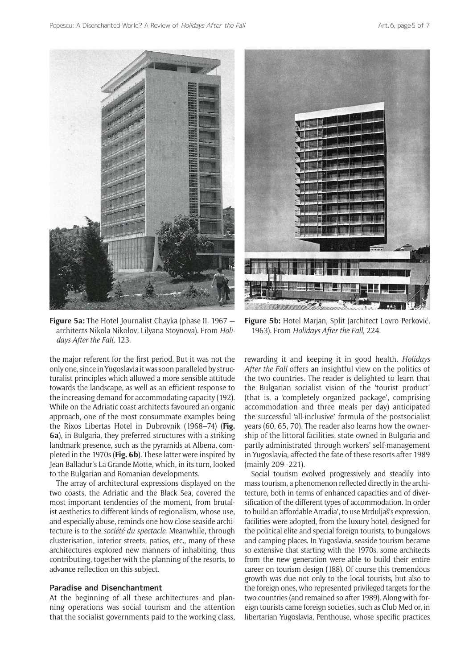



**Figure 5a:** The Hotel Journalist Chayka (phase II, 1967 architects Nikola Nikolov, Lilyana Stoynova). From *Holidays After the Fall*, 123.

the major referent for the first period. But it was not the only one, since in Yugoslavia it was soon paralleled by structuralist principles which allowed a more sensible attitude towards the landscape, as well as an efficient response to the increasing demand for accommodating capacity (192). While on the Adriatic coast architects favoured an organic approach, one of the most consummate examples being the Rixos Libertas Hotel in Dubrovnik (1968–74) (**Fig. 6a**), in Bulgaria, they preferred structures with a striking landmark presence, such as the pyramids at Albena, completed in the 1970s (**Fig. 6b**). These latter were inspired by Jean Balladur's La Grande Motte, which, in its turn, looked to the Bulgarian and Romanian developments.

The array of architectural expressions displayed on the two coasts, the Adriatic and the Black Sea, covered the most important tendencies of the moment, from brutalist aesthetics to different kinds of regionalism, whose use, and especially abuse, reminds one how close seaside architecture is to the *société du spectacle*. Meanwhile, through clusterisation, interior streets, patios, etc., many of these architectures explored new manners of inhabiting, thus contributing, together with the planning of the resorts, to advance reflection on this subject.

#### **Paradise and Disenchantment**

At the beginning of all these architectures and planning operations was social tourism and the attention that the socialist governments paid to the working class,

**Figure 5b:** Hotel Marjan, Split (architect Lovro Perković, 1963). From *Holidays After the Fall*, 224.

rewarding it and keeping it in good health. *Holidays After the Fall* offers an insightful view on the politics of the two countries. The reader is delighted to learn that the Bulgarian socialist vision of the 'tourist product' (that is, a 'completely organized package', comprising accommodation and three meals per day) anticipated the successful 'all-inclusive' formula of the postsocialist years (60, 65, 70). The reader also learns how the ownership of the littoral facilities, state-owned in Bulgaria and partly administrated through workers' self-management in Yugoslavia, affected the fate of these resorts after 1989 (mainly 209–221).

Social tourism evolved progressively and steadily into mass tourism, a phenomenon reflected directly in the architecture, both in terms of enhanced capacities and of diversification of the different types of accommodation. In order to build an 'affordable Arcadia', to use Mrduljaš's expression, facilities were adopted, from the luxury hotel, designed for the political elite and special foreign tourists, to bungalows and camping places. In Yugoslavia, seaside tourism became so extensive that starting with the 1970s, some architects from the new generation were able to build their entire career on tourism design (188). Of course this tremendous growth was due not only to the local tourists, but also to the foreign ones, who represented privileged targets for the two countries (and remained so after 1989). Along with foreign tourists came foreign societies, such as Club Med or, in libertarian Yugoslavia, Penthouse, whose specific practices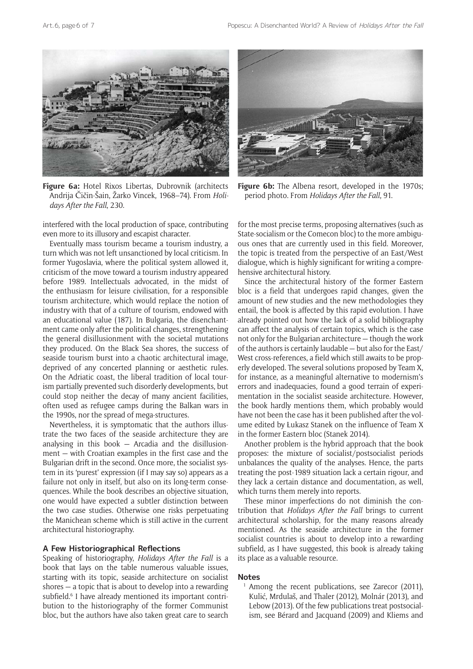

**Figure 6a:** Hotel Rixos Libertas, Dubrovnik (architects Andrija Čičin-Šain, Žarko Vincek, 1968–74). From *Holidays After the Fall*, 230.

interfered with the local production of space, contributing even more to its illusory and escapist character.

Eventually mass tourism became a tourism industry, a turn which was not left unsanctioned by local criticism. In former Yugoslavia, where the political system allowed it, criticism of the move toward a tourism industry appeared before 1989. Intellectuals advocated, in the midst of the enthusiasm for leisure civilisation, for a responsible tourism architecture, which would replace the notion of industry with that of a culture of tourism, endowed with an educational value (187). In Bulgaria, the disenchantment came only after the political changes, strengthening the general disillusionment with the societal mutations they produced. On the Black Sea shores, the success of seaside tourism burst into a chaotic architectural image, deprived of any concerted planning or aesthetic rules. On the Adriatic coast, the liberal tradition of local tourism partially prevented such disorderly developments, but could stop neither the decay of many ancient facilities, often used as refugee camps during the Balkan wars in the 1990s, nor the spread of mega-structures.

Nevertheless, it is symptomatic that the authors illustrate the two faces of the seaside architecture they are analysing in this book — Arcadia and the disillusionment — with Croatian examples in the first case and the Bulgarian drift in the second. Once more, the socialist system in its 'purest' expression (if I may say so) appears as a failure not only in itself, but also on its long-term consequences. While the book describes an objective situation, one would have expected a subtler distinction between the two case studies. Otherwise one risks perpetuating the Manichean scheme which is still active in the current architectural historiography.

#### **A Few Historiographical Reflections**

Speaking of historiography, *Holidays After the Fall* is a book that lays on the table numerous valuable issues, starting with its topic, seaside architecture on socialist shores — a topic that is about to develop into a rewarding subfield.<sup>6</sup> I have already mentioned its important contribution to the historiography of the former Communist bloc, but the authors have also taken great care to search



Figure 6b: The Albena resort, developed in the 1970s; period photo. From *Holidays After the Fall*, 91.

for the most precise terms, proposing alternatives (such as State-socialism or the Comecon bloc) to the more ambiguous ones that are currently used in this field. Moreover, the topic is treated from the perspective of an East/West dialogue, which is highly significant for writing a comprehensive architectural history.

Since the architectural history of the former Eastern bloc is a field that undergoes rapid changes, given the amount of new studies and the new methodologies they entail, the book is affected by this rapid evolution. I have already pointed out how the lack of a solid bibliography can affect the analysis of certain topics, which is the case not only for the Bulgarian architecture — though the work of the authors is certainly laudable — but also for the East/ West cross-references, a field which still awaits to be properly developed. The several solutions proposed by Team X, for instance, as a meaningful alternative to modernism's errors and inadequacies, found a good terrain of experimentation in the socialist seaside architecture. However, the book hardly mentions them, which probably would have not been the case has it been published after the volume edited by Łukasz Stanek on the influence of Team X in the former Eastern bloc (Stanek 2014).

Another problem is the hybrid approach that the book proposes: the mixture of socialist/postsocialist periods unbalances the quality of the analyses. Hence, the parts treating the post-1989 situation lack a certain rigour, and they lack a certain distance and documentation, as well, which turns them merely into reports.

These minor imperfections do not diminish the contribution that *Holidays After the Fall* brings to current architectural scholarship, for the many reasons already mentioned. As the seaside architecture in the former socialist countries is about to develop into a rewarding subfield, as I have suggested, this book is already taking its place as a valuable resource.

#### **Notes**

<sup>1</sup> Among the recent publications, see Zarecor (2011), Kulić, Mrdulaš, and Thaler (2012), Molnár (2013), and Lebow (2013). Of the few publications treat postsocialism, see Bérard and Jacquand (2009) and Kliems and